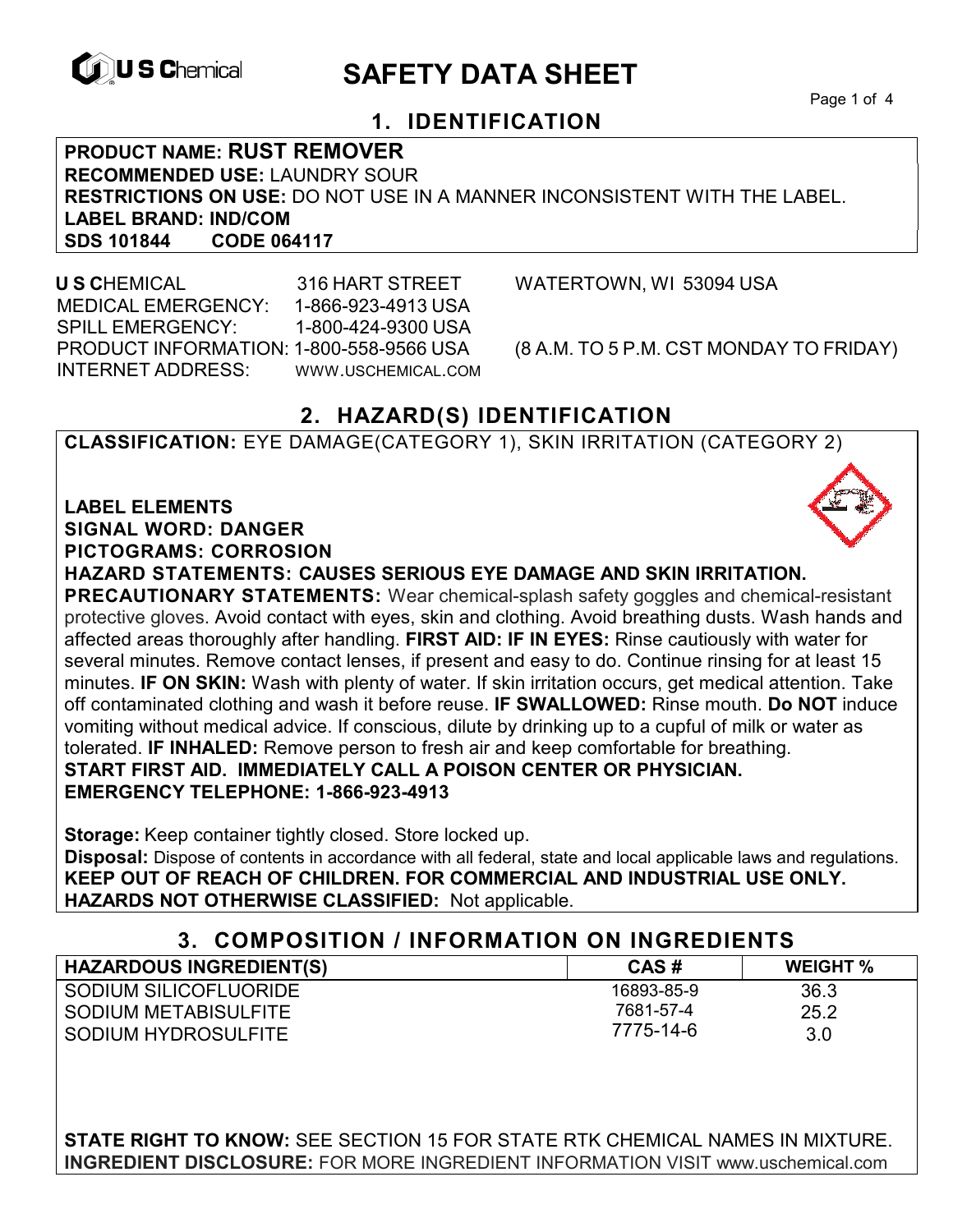

# **EXAGREM** SAFETY DATA SHEET

Page 1 of 4

## **1. IDENTIFICATION**

**PRODUCT NAME: RUST REMOVER RECOMMENDED USE:** LAUNDRY SOUR **RESTRICTIONS ON USE:** DO NOT USE IN A MANNER INCONSISTENT WITH THE LABEL. **LABEL BRAND: IND/COM SDS 101844** 

 **U S C**HEMICAL 316 HART STREET WATERTOWN, WI 53094 USA MEDICAL EMERGENCY: 1-866-923-4913 USA SPILL EMERGENCY: 1-800-424-9300 USA PRODUCT INFORMATION: 1-800-558-9566 USA (8 A.M. TO 5 P.M. CST MONDAY TO FRIDAY) INTERNET ADDRESS: WWW.USCHEMICAL.COM

### **2. HAZARD(S) IDENTIFICATION**

**CLASSIFICATION:** EYE DAMAGE(CATEGORY 1), SKIN IRRITATION (CATEGORY 2)

**LABEL ELEMENTS SIGNAL WORD: DANGER PICTOGRAMS: CORROSION**

**HAZARD STATEMENTS: CAUSES SERIOUS EYE DAMAGE AND SKIN IRRITATION.** 

**PRECAUTIONARY STATEMENTS:** Wear chemical-splash safety goggles and chemical-resistant protective gloves. Avoid contact with eyes, skin and clothing. Avoid breathing dusts. Wash hands and affected areas thoroughly after handling. **FIRST AID: IF IN EYES:** Rinse cautiously with water for several minutes. Remove contact lenses, if present and easy to do. Continue rinsing for at least 15 minutes. **IF ON SKIN:** Wash with plenty of water. If skin irritation occurs, get medical attention. Take off contaminated clothing and wash it before reuse. **IF SWALLOWED:** Rinse mouth. **Do NOT** induce vomiting without medical advice. If conscious, dilute by drinking up to a cupful of milk or water as tolerated. **IF INHALED:** Remove person to fresh air and keep comfortable for breathing. **START FIRST AID. IMMEDIATELY CALL A POISON CENTER OR PHYSICIAN. EMERGENCY TELEPHONE: 1-866-923-4913**

**Storage:** Keep container tightly closed. Store locked up.

**Disposal:** Dispose of contents in accordance with all federal, state and local applicable laws and regulations. **KEEP OUT OF REACH OF CHILDREN. FOR COMMERCIAL AND INDUSTRIAL USE ONLY. HAZARDS NOT OTHERWISE CLASSIFIED:** Not applicable.

#### **3. COMPOSITION / INFORMATION ON INGREDIENTS**

| <b>HAZARDOUS INGREDIENT(S)</b> | CAS#       | <b>WEIGHT %</b> |
|--------------------------------|------------|-----------------|
| SODIUM SILICOFLUORIDE          | 16893-85-9 | 36.3            |
| SODIUM METABISULFITE           | 7681-57-4  | 25.2            |
| SODIUM HYDROSULFITE            | 7775-14-6  | 3.0             |

**STATE RIGHT TO KNOW:** SEE SECTION 15 FOR STATE RTK CHEMICAL NAMES IN MIXTURE. **INGREDIENT DISCLOSURE:** FOR MORE INGREDIENT INFORMATION VISIT www.uschemical.com

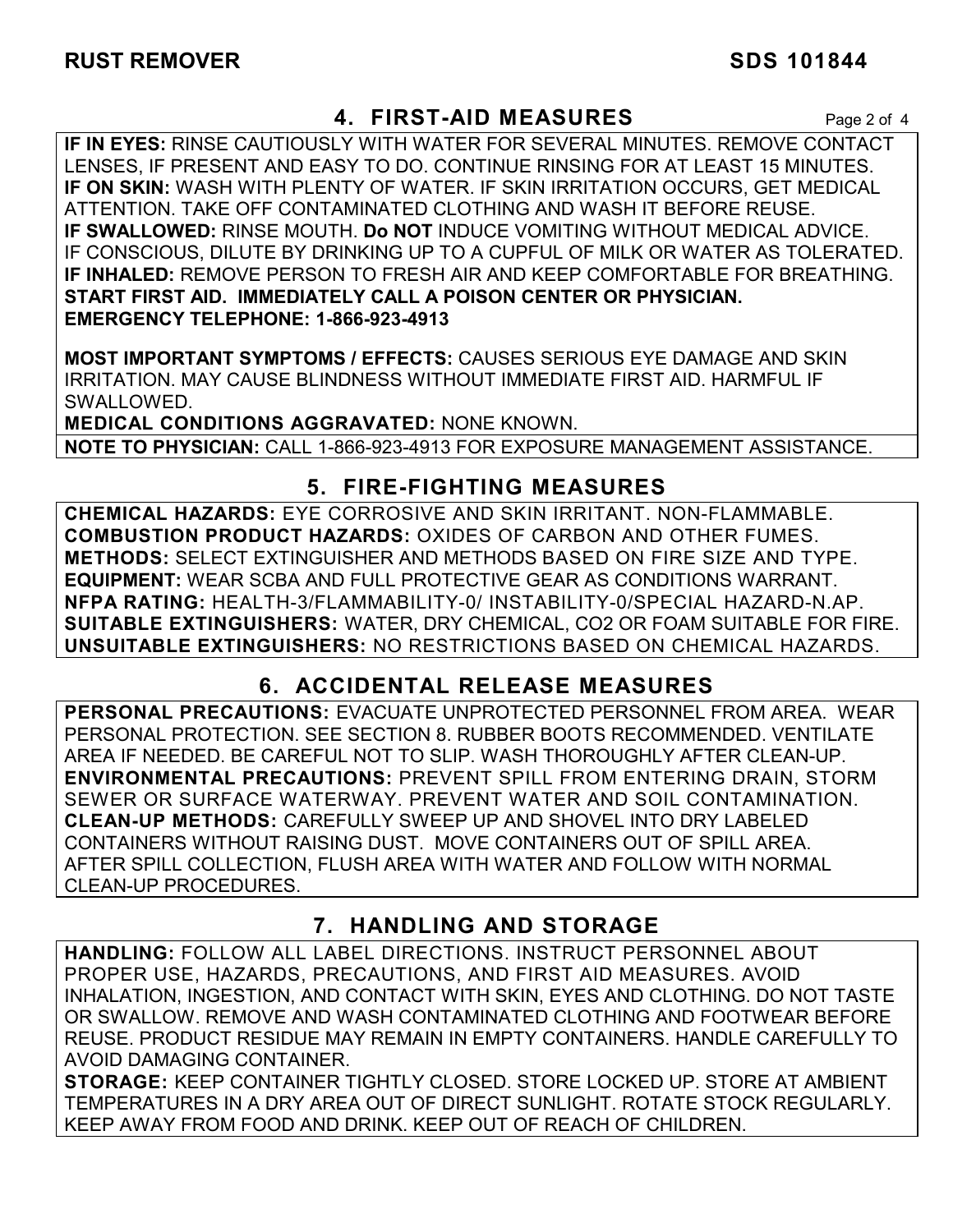### **4. FIRST-AID MEASURES** Page 2 of 4

**IF IN EYES:** RINSE CAUTIOUSLY WITH WATER FOR SEVERAL MINUTES. REMOVE CONTACT LENSES, IF PRESENT AND EASY TO DO. CONTINUE RINSING FOR AT LEAST 15 MINUTES. **IF ON SKIN:** WASH WITH PLENTY OF WATER. IF SKIN IRRITATION OCCURS, GET MEDICAL ATTENTION. TAKE OFF CONTAMINATED CLOTHING AND WASH IT BEFORE REUSE. **IF SWALLOWED:** RINSE MOUTH. **Do NOT** INDUCE VOMITING WITHOUT MEDICAL ADVICE. IF CONSCIOUS, DILUTE BY DRINKING UP TO A CUPFUL OF MILK OR WATER AS TOLERATED. **IF INHALED:** REMOVE PERSON TO FRESH AIR AND KEEP COMFORTABLE FOR BREATHING. **START FIRST AID. IMMEDIATELY CALL A POISON CENTER OR PHYSICIAN. EMERGENCY TELEPHONE: 1-866-923-4913**

**MOST IMPORTANT SYMPTOMS / EFFECTS:** CAUSES SERIOUS EYE DAMAGE AND SKIN IRRITATION. MAY CAUSE BLINDNESS WITHOUT IMMEDIATE FIRST AID. HARMFUL IF SWALLOWED.

**MEDICAL CONDITIONS AGGRAVATED:** NONE KNOWN. **NOTE TO PHYSICIAN:** CALL 1-866-923-4913 FOR EXPOSURE MANAGEMENT ASSISTANCE.

### **5. FIRE-FIGHTING MEASURES**

**CHEMICAL HAZARDS:** EYE CORROSIVE AND SKIN IRRITANT. NON-FLAMMABLE. **COMBUSTION PRODUCT HAZARDS:** OXIDES OF CARBON AND OTHER FUMES. **METHODS:** SELECT EXTINGUISHER AND METHODS BASED ON FIRE SIZE AND TYPE. **EQUIPMENT:** WEAR SCBA AND FULL PROTECTIVE GEAR AS CONDITIONS WARRANT. **NFPA RATING:** HEALTH-3/FLAMMABILITY-0/ INSTABILITY-0/SPECIAL HAZARD-N.AP. **SUITABLE EXTINGUISHERS:** WATER, DRY CHEMICAL, CO2 OR FOAM SUITABLE FOR FIRE. **UNSUITABLE EXTINGUISHERS:** NO RESTRICTIONS BASED ON CHEMICAL HAZARDS.

# **6. ACCIDENTAL RELEASE MEASURES**

**PERSONAL PRECAUTIONS:** EVACUATE UNPROTECTED PERSONNEL FROM AREA. WEAR PERSONAL PROTECTION. SEE SECTION 8. RUBBER BOOTS RECOMMENDED. VENTILATE AREA IF NEEDED. BE CAREFUL NOT TO SLIP. WASH THOROUGHLY AFTER CLEAN-UP. **ENVIRONMENTAL PRECAUTIONS:** PREVENT SPILL FROM ENTERING DRAIN, STORM SEWER OR SURFACE WATERWAY. PREVENT WATER AND SOIL CONTAMINATION. **CLEAN-UP METHODS:** CAREFULLY SWEEP UP AND SHOVEL INTO DRY LABELED CONTAINERS WITHOUT RAISING DUST. MOVE CONTAINERS OUT OF SPILL AREA. AFTER SPILL COLLECTION, FLUSH AREA WITH WATER AND FOLLOW WITH NORMAL CLEAN-UP PROCEDURES.

# **7. HANDLING AND STORAGE**

**HANDLING:** FOLLOW ALL LABEL DIRECTIONS. INSTRUCT PERSONNEL ABOUT PROPER USE, HAZARDS, PRECAUTIONS, AND FIRST AID MEASURES. AVOID INHALATION, INGESTION, AND CONTACT WITH SKIN, EYES AND CLOTHING. DO NOT TASTE OR SWALLOW. REMOVE AND WASH CONTAMINATED CLOTHING AND FOOTWEAR BEFORE REUSE. PRODUCT RESIDUE MAY REMAIN IN EMPTY CONTAINERS. HANDLE CAREFULLY TO AVOID DAMAGING CONTAINER.

**STORAGE:** KEEP CONTAINER TIGHTLY CLOSED. STORE LOCKED UP. STORE AT AMBIENT TEMPERATURES IN A DRY AREA OUT OF DIRECT SUNLIGHT. ROTATE STOCK REGULARLY. KEEP AWAY FROM FOOD AND DRINK. KEEP OUT OF REACH OF CHILDREN.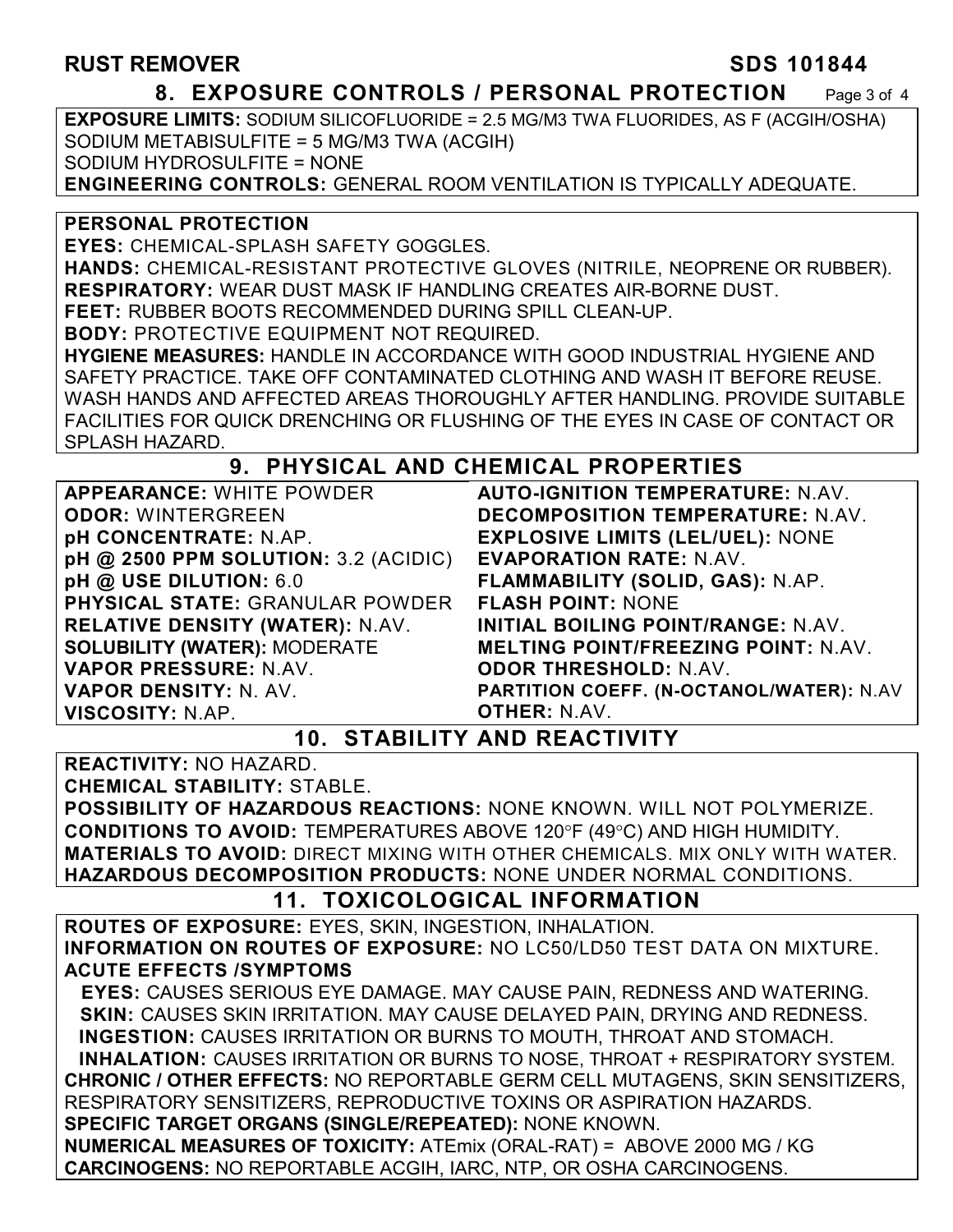#### RUST REMOVER SDS 101844

#### **8. EXPOSURE CONTROLS / PERSONAL PROTECTION** Page 3 of 4

**EXPOSURE LIMITS:** SODIUM SILICOFLUORIDE = 2.5 MG/M3 TWA FLUORIDES, AS F (ACGIH/OSHA) SODIUM METABISULFITE = 5 MG/M3 TWA (ACGIH) SODIUM HYDROSULFITE = NONE

**ENGINEERING CONTROLS:** GENERAL ROOM VENTILATION IS TYPICALLY ADEQUATE.

#### **PERSONAL PROTECTION**

**EYES:** CHEMICAL-SPLASH SAFETY GOGGLES.

**HANDS:** CHEMICAL-RESISTANT PROTECTIVE GLOVES (NITRILE, NEOPRENE OR RUBBER). **RESPIRATORY:** WEAR DUST MASK IF HANDLING CREATES AIR-BORNE DUST.

**FEET:** RUBBER BOOTS RECOMMENDED DURING SPILL CLEAN-UP.

**BODY:** PROTECTIVE EQUIPMENT NOT REQUIRED.

**HYGIENE MEASURES:** HANDLE IN ACCORDANCE WITH GOOD INDUSTRIAL HYGIENE AND SAFETY PRACTICE. TAKE OFF CONTAMINATED CLOTHING AND WASH IT BEFORE REUSE. WASH HANDS AND AFFECTED AREAS THOROUGHLY AFTER HANDLING. PROVIDE SUITABLE FACILITIES FOR QUICK DRENCHING OR FLUSHING OF THE EYES IN CASE OF CONTACT OR SPLASH HAZARD.

#### **9. PHYSICAL AND CHEMICAL PROPERTIES**

**APPEARANCE:** WHITE POWDER **ODOR:** WINTERGREEN **pH CONCENTRATE:** N.AP. **pH @ 2500 PPM SOLUTION:** 3.2 (ACIDIC) **pH @ USE DILUTION:** 6.0 **PHYSICAL STATE:** GRANULAR POWDER **RELATIVE DENSITY (WATER):** N.AV. **SOLUBILITY (WATER):** MODERATE **VAPOR PRESSURE:** N.AV. **VAPOR DENSITY:** N. AV. **VISCOSITY:** N.AP.

**AUTO-IGNITION TEMPERATURE:** N.AV. **DECOMPOSITION TEMPERATURE:** N.AV. **EXPLOSIVE LIMITS (LEL/UEL):** NONE **EVAPORATION RATE:** N.AV. **FLAMMABILITY (SOLID, GAS):** N.AP. **FLASH POINT:** NONE **INITIAL BOILING POINT/RANGE:** N.AV. **MELTING POINT/FREEZING POINT:** N.AV. **ODOR THRESHOLD:** N.AV. **PARTITION COEFF. (N-OCTANOL/WATER):** N.AV **OTHER:** N.AV.

#### **10. STABILITY AND REACTIVITY**

**REACTIVITY:** NO HAZARD.

**CHEMICAL STABILITY:** STABLE.

**POSSIBILITY OF HAZARDOUS REACTIONS:** NONE KNOWN. WILL NOT POLYMERIZE. **CONDITIONS TO AVOID: TEMPERATURES ABOVE 120°F (49°C) AND HIGH HUMIDITY. MATERIALS TO AVOID:** DIRECT MIXING WITH OTHER CHEMICALS. MIX ONLY WITH WATER. **HAZARDOUS DECOMPOSITION PRODUCTS:** NONE UNDER NORMAL CONDITIONS.

#### **11. TOXICOLOGICAL INFORMATION**

**ROUTES OF EXPOSURE:** EYES, SKIN, INGESTION, INHALATION. **INFORMATION ON ROUTES OF EXPOSURE:** NO LC50/LD50 TEST DATA ON MIXTURE. **ACUTE EFFECTS /SYMPTOMS**

 **EYES:** CAUSES SERIOUS EYE DAMAGE. MAY CAUSE PAIN, REDNESS AND WATERING. **SKIN:** CAUSES SKIN IRRITATION. MAY CAUSE DELAYED PAIN, DRYING AND REDNESS. **INGESTION:** CAUSES IRRITATION OR BURNS TO MOUTH, THROAT AND STOMACH. **INHALATION:** CAUSES IRRITATION OR BURNS TO NOSE, THROAT + RESPIRATORY SYSTEM. **CHRONIC / OTHER EFFECTS:** NO REPORTABLE GERM CELL MUTAGENS, SKIN SENSITIZERS, RESPIRATORY SENSITIZERS, REPRODUCTIVE TOXINS OR ASPIRATION HAZARDS. **SPECIFIC TARGET ORGANS (SINGLE/REPEATED):** NONE KNOWN.

**NUMERICAL MEASURES OF TOXICITY:** ATEmix (ORAL-RAT) = ABOVE 2000 MG / KG **CARCINOGENS:** NO REPORTABLE ACGIH, IARC, NTP, OR OSHA CARCINOGENS.